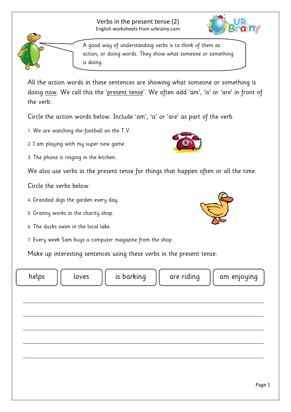



A good way of understanding verbs is to think of them as action, or doing words. They show what someone or something is doing.

All the action words in these sentences are showing what someone or something is doing <u>now</u>. We call this the '<u>present tense</u>'. We often add 'am', 'is' or 'are' in front of the verb.

Circle the action words below. Include 'am', 'is' or 'are' as part of the verb.

1. We are watching the football on the T.V.

2. I am playing with my super new game.

3. The phone is ringing in the kitchen.

We also use verbs in the present tense for things that happen often or all the time.

Circle the verbs below.

- 4. Grandad digs the garden every day.
- 5. Granny works in the charity shop.
- 6. The ducks swim in the local lake.
- 7. Every week Sam buys a computer magazine from the shop.

Make up interesting sentences using these verbs in the present tense:

helps  $||$  loves  $||$  is barking  $||$  are riding  $||$  am enjoying